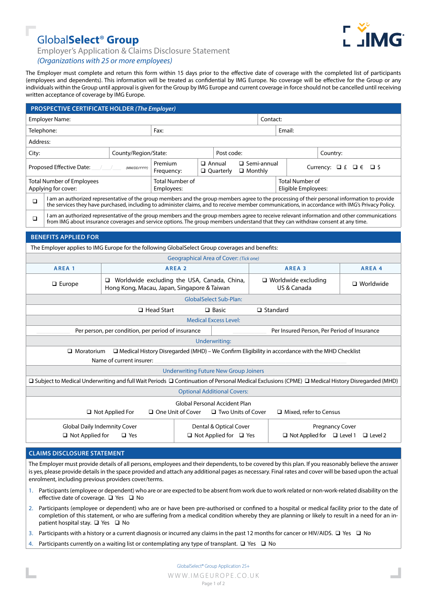

# Global**Select**® **Group**

Employer's Application & Claims Disclosure Statement

## *(Organizations with 25 or more employees)*

The Employer must complete and return this form within 15 days prior to the effective date of coverage with the completed list of participants (employees and dependents). This information will be treated as confidential by IMG Europe. No coverage will be effective for the Group or any individuals within the Group until approval is given for the Group by IMG Europe and current coverage in force should not be cancelled until receiving written acceptance of coverage by IMG Europe.

| PROSPECTIVE CERTIFICATE HOLDER (The Employer)                                                                                                                                                                                                                                                               |                                                                                                                                                                                                                                                                                 |  |                                                                                       |  |                                                                      |                |                   |          |                       |        |  |
|-------------------------------------------------------------------------------------------------------------------------------------------------------------------------------------------------------------------------------------------------------------------------------------------------------------|---------------------------------------------------------------------------------------------------------------------------------------------------------------------------------------------------------------------------------------------------------------------------------|--|---------------------------------------------------------------------------------------|--|----------------------------------------------------------------------|----------------|-------------------|----------|-----------------------|--------|--|
| <b>Employer Name:</b>                                                                                                                                                                                                                                                                                       |                                                                                                                                                                                                                                                                                 |  | Contact:                                                                              |  |                                                                      |                |                   |          |                       |        |  |
| Telephone:                                                                                                                                                                                                                                                                                                  |                                                                                                                                                                                                                                                                                 |  | Email:<br>Fax:                                                                        |  |                                                                      |                |                   |          |                       |        |  |
| Address:                                                                                                                                                                                                                                                                                                    |                                                                                                                                                                                                                                                                                 |  |                                                                                       |  |                                                                      |                |                   |          |                       |        |  |
| City:<br>County/Region/State:                                                                                                                                                                                                                                                                               |                                                                                                                                                                                                                                                                                 |  | Post code:                                                                            |  |                                                                      |                |                   | Country: |                       |        |  |
| Proposed Effective Date:<br>(MM/DD/YYYY)                                                                                                                                                                                                                                                                    |                                                                                                                                                                                                                                                                                 |  | Premium<br>Frequency:                                                                 |  | □ Semi-annual<br>$\Box$ Annual<br>$\Box$ Quarterly<br>$\Box$ Monthly |                |                   |          | Currency: $□ f □ ∈ □$ |        |  |
| <b>Total Number of Employees</b><br>Applying for cover:                                                                                                                                                                                                                                                     |                                                                                                                                                                                                                                                                                 |  | <b>Total Number of</b><br><b>Total Number of</b><br>Eligible Employees:<br>Employees: |  |                                                                      |                |                   |          |                       |        |  |
| I am an authorized representative of the group members and the group members agree to the processing of their personal information to provide<br>$\Box$<br>the services they have purchased, including to administer claims, and to receive member communications, in accordance with IMG's Privacy Policy. |                                                                                                                                                                                                                                                                                 |  |                                                                                       |  |                                                                      |                |                   |          |                       |        |  |
| $\Box$                                                                                                                                                                                                                                                                                                      | I am an authorized representative of the group members and the group members agree to receive relevant information and other communications<br>from IMG about insurance coverages and service options. The group members understand that they can withdraw consent at any time. |  |                                                                                       |  |                                                                      |                |                   |          |                       |        |  |
|                                                                                                                                                                                                                                                                                                             | <b>BENEFITS APPLIED FOR</b>                                                                                                                                                                                                                                                     |  |                                                                                       |  |                                                                      |                |                   |          |                       |        |  |
|                                                                                                                                                                                                                                                                                                             | The Employer applies to IMG Europe for the following GlobalSelect Group coverages and benefits:                                                                                                                                                                                 |  |                                                                                       |  |                                                                      |                |                   |          |                       |        |  |
|                                                                                                                                                                                                                                                                                                             |                                                                                                                                                                                                                                                                                 |  | <b>Geographical Area of Cover: (Tick one)</b>                                         |  |                                                                      |                |                   |          |                       |        |  |
|                                                                                                                                                                                                                                                                                                             | AREA <sub>1</sub>                                                                                                                                                                                                                                                               |  | AREA <sub>2</sub>                                                                     |  |                                                                      |                | AREA <sub>3</sub> |          |                       | AREA 4 |  |
| □ Worldwide excluding the USA, Canada, China,<br>$\Box$ Europe<br>Hong Kong, Macau, Japan, Singapore & Taiwan                                                                                                                                                                                               |                                                                                                                                                                                                                                                                                 |  |                                                                                       |  | $\Box$ Worldwide excluding<br>$\Box$ Worldwide<br>US & Canada        |                |                   |          |                       |        |  |
| <b>GlobalSelect Sub-Plan:</b>                                                                                                                                                                                                                                                                               |                                                                                                                                                                                                                                                                                 |  |                                                                                       |  |                                                                      |                |                   |          |                       |        |  |
| $\Box$ Head Start<br>$\Box$ Standard<br>$\Box$ Basic                                                                                                                                                                                                                                                        |                                                                                                                                                                                                                                                                                 |  |                                                                                       |  |                                                                      |                |                   |          |                       |        |  |
| <b>Medical Excess Level:</b>                                                                                                                                                                                                                                                                                |                                                                                                                                                                                                                                                                                 |  |                                                                                       |  |                                                                      |                |                   |          |                       |        |  |
| Per person, per condition, per period of insurance<br>Per Insured Person, Per Period of Insurance                                                                                                                                                                                                           |                                                                                                                                                                                                                                                                                 |  |                                                                                       |  |                                                                      |                |                   |          |                       |        |  |
| <b>Underwriting:</b>                                                                                                                                                                                                                                                                                        |                                                                                                                                                                                                                                                                                 |  |                                                                                       |  |                                                                      |                |                   |          |                       |        |  |
| $\Box$ Medical History Disregarded (MHD) – We Confirm Eligibility in accordance with the MHD Checklist<br>$\Box$ Moratorium<br>Name of current insurer:                                                                                                                                                     |                                                                                                                                                                                                                                                                                 |  |                                                                                       |  |                                                                      |                |                   |          |                       |        |  |
| <b>Underwriting Future New Group Joiners</b>                                                                                                                                                                                                                                                                |                                                                                                                                                                                                                                                                                 |  |                                                                                       |  |                                                                      |                |                   |          |                       |        |  |
| □ Subject to Medical Underwriting and full Wait Periods □ Continuation of Personal Medical Exclusions (CPME) □ Medical History Disregarded (MHD)                                                                                                                                                            |                                                                                                                                                                                                                                                                                 |  |                                                                                       |  |                                                                      |                |                   |          |                       |        |  |
| <b>Optional Additional Covers:</b>                                                                                                                                                                                                                                                                          |                                                                                                                                                                                                                                                                                 |  |                                                                                       |  |                                                                      |                |                   |          |                       |        |  |
| Global Personal Accident Plan<br>$\Box$ Not Applied For<br>□ One Unit of Cover<br>$\Box$ Two Units of Cover<br>□ Mixed, refer to Census                                                                                                                                                                     |                                                                                                                                                                                                                                                                                 |  |                                                                                       |  |                                                                      |                |                   |          |                       |        |  |
| <b>Global Daily Indemnity Cover</b><br>Dental & Optical Cover<br><b>Pregnancy Cover</b><br>$\Box$ Not Applied for $\Box$ Yes<br>$\Box$ Not Applied for $\Box$ Level 1<br>Not Applied for<br>$\Box$ Yes                                                                                                      |                                                                                                                                                                                                                                                                                 |  |                                                                                       |  |                                                                      | $\Box$ Level 2 |                   |          |                       |        |  |
|                                                                                                                                                                                                                                                                                                             |                                                                                                                                                                                                                                                                                 |  |                                                                                       |  |                                                                      |                |                   |          |                       |        |  |

### **CLAIMS DISCLOSURE STATEMENT**

The Employer must provide details of all persons, employees and their dependents, to be covered by this plan. If you reasonably believe the answer is yes, please provide details in the space provided and attach any additional pages as necessary. Final rates and cover will be based upon the actual enrolment, including previous providers cover/terms.

- 1. Participants (employee or dependent) who are or are expected to be absent from work due to work related or non-work-related disability on the effective date of coverage.  $\Box$  Yes  $\Box$  No
- 2. Participants (employee or dependent) who are or have been pre-authorised or confined to a hospital or medical facility prior to the date of completion of this statement, or who are suffering from a medical condition whereby they are planning or likely to result in a need for an inpatient hospital stay.  $\Box$  Yes  $\Box$  No
- 3. Participants with a history or a current diagnosis or incurred any claims in the past 12 months for cancer or HIV/AIDS.  $\Box$  Yes  $\Box$  No
- 4. Participants currently on a waiting list or contemplating any type of transplant.  $\Box$  Yes  $\Box$  No